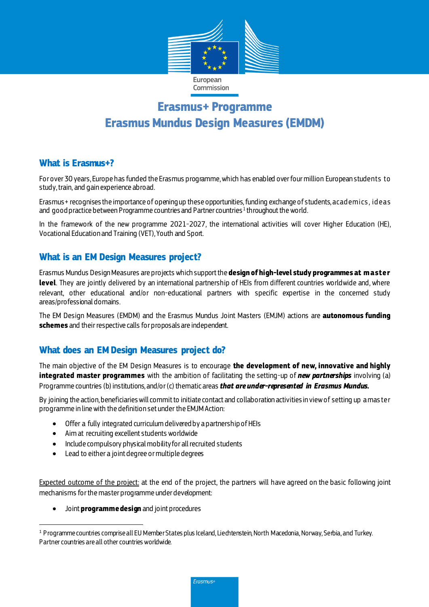

# **Erasmus+ Programme Erasmus Mundus Design Measures (EMDM)**

#### **What is Erasmus+?**

For over 30 years, Europe has funded the Erasmus programme, which has enabled over four million European students to study, train, and gain experience abroad.

Erasmus+ recognises the importance of opening up these opportunities,funding exchange of students, acad emics , id eas and <code>goodpractice</code> between Programme countries and Partner countries  $^1$  throughout the world.

In the framework of the new programme 2021-2027, the international activities will cover Higher Education (HE), Vocational Education and Training (VET), Youth and Sport.

#### **What is an EM Design Measures project?**

Erasmus Mundus Design Measures are projects which support the **design of high-level study programmes at m aster level**. They are jointly delivered by an international partnership of HEIs from different countries worldwide and, where relevant, other educational and/or non-educational partners with specific expertise in the concerned study areas/professional domains.

The EM Design Measures (EMDM) and the Erasmus Mundus Joint Masters (EMJM) actions are **autonomous funding schemes** and their respective calls for proposals are independent.

### **What does an EMDesign Measures project do?**

The main objective of the EM Design Measures is to encourage **the development of new, innovative and highly integrated master programmes** with the ambition of facilitating the setting-up of *new partnerships* involving (a) Programme countries (b) institutions, and/or (c) thematic areas *that are under-represented in Erasmus Mundus.* 

By joining the action, beneficiaries will commit to initiate contact and collaboration activities in view of setting up a mas ter programme in line with the definition set under the EMJM Action:

- Offer a fully integrated curriculum delivered by a partnership of HEIs
- Aim at recruiting excellent students worldwide
- Include compulsory physical mobility for all recruited students
- Lead to either a joint degree or multiple degrees

Expected outcome of the project: at the end of the project, the partners will have agreed on the basic following joint mechanisms for the master programme under development:

Joint **programme design** and joint procedures

Erasmus+

 $\overline{a}$ <sup>1</sup> Programme countries comprise all EU Member States plus Iceland, Liechtenstein, North Macedonia, Norway, Serbia, and Turkey. Partner countries are all other countries worldwide.